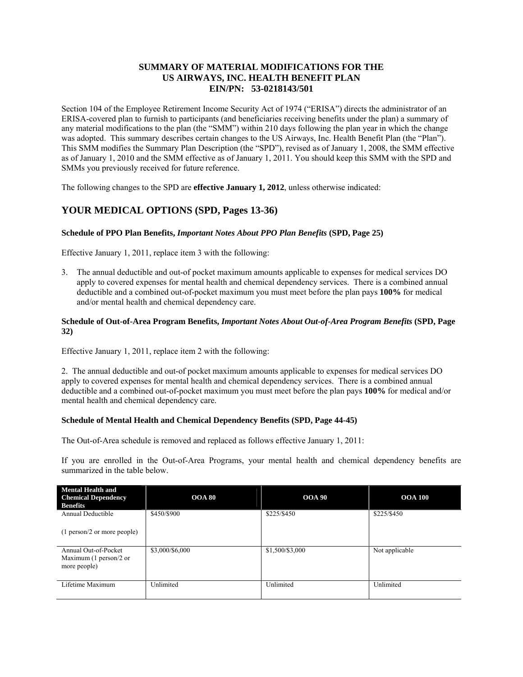### **SUMMARY OF MATERIAL MODIFICATIONS FOR THE US AIRWAYS, INC. HEALTH BENEFIT PLAN EIN/PN: 53-0218143/501**

Section 104 of the Employee Retirement Income Security Act of 1974 ("ERISA") directs the administrator of an ERISA-covered plan to furnish to participants (and beneficiaries receiving benefits under the plan) a summary of any material modifications to the plan (the "SMM") within 210 days following the plan year in which the change was adopted. This summary describes certain changes to the US Airways, Inc. Health Benefit Plan (the "Plan"). This SMM modifies the Summary Plan Description (the "SPD"), revised as of January 1, 2008, the SMM effective as of January 1, 2010 and the SMM effective as of January 1, 2011. You should keep this SMM with the SPD and SMMs you previously received for future reference.

The following changes to the SPD are **effective January 1, 2012**, unless otherwise indicated:

# **YOUR MEDICAL OPTIONS (SPD, Pages 13-36)**

### **Schedule of PPO Plan Benefits,** *Important Notes About PPO Plan Benefits* **(SPD, Page 25)**

Effective January 1, 2011, replace item 3 with the following:

3. The annual deductible and out-of pocket maximum amounts applicable to expenses for medical services DO apply to covered expenses for mental health and chemical dependency services. There is a combined annual deductible and a combined out-of-pocket maximum you must meet before the plan pays **100%** for medical and/or mental health and chemical dependency care.

#### **Schedule of Out-of-Area Program Benefits,** *Important Notes About Out-of-Area Program Benefits* **(SPD, Page 32)**

Effective January 1, 2011, replace item 2 with the following:

2. The annual deductible and out-of pocket maximum amounts applicable to expenses for medical services DO apply to covered expenses for mental health and chemical dependency services. There is a combined annual deductible and a combined out-of-pocket maximum you must meet before the plan pays **100%** for medical and/or mental health and chemical dependency care.

### **Schedule of Mental Health and Chemical Dependency Benefits (SPD, Page 44-45)**

The Out-of-Area schedule is removed and replaced as follows effective January 1, 2011:

If you are enrolled in the Out-of-Area Programs, your mental health and chemical dependency benefits are summarized in the table below.

| <b>Mental Health and</b><br><b>Chemical Dependency</b><br><b>Benefits</b> | <b>OOA 80</b>   | <b>OOA 90</b>   | <b>OOA 100</b> |
|---------------------------------------------------------------------------|-----------------|-----------------|----------------|
| Annual Deductible                                                         | \$450/\$900     | \$225/\$450     | \$225/\$450    |
| (1 person/2 or more people)                                               |                 |                 |                |
| Annual Out-of-Pocket<br>Maximum $(1$ person/2 or<br>more people)          | \$3,000/\$6,000 | \$1,500/\$3,000 | Not applicable |
| Lifetime Maximum                                                          | Unlimited       | Unlimited       | Unlimited      |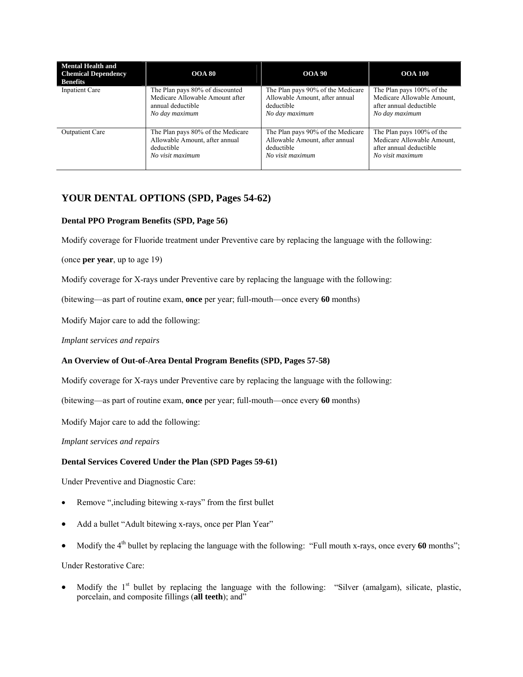| <b>Mental Health and</b><br><b>Chemical Dependency</b><br><b>Benefits</b> | <b>OOA 80</b>                     | <b>OOA 90</b>                     | <b>OOA 100</b>             |
|---------------------------------------------------------------------------|-----------------------------------|-----------------------------------|----------------------------|
| Inpatient Care                                                            | The Plan pays 80% of discounted   | The Plan pays 90% of the Medicare | The Plan pays 100% of the  |
|                                                                           | Medicare Allowable Amount after   | Allowable Amount, after annual    | Medicare Allowable Amount, |
|                                                                           | annual deductible                 | deductible                        | after annual deductible    |
|                                                                           | No day maximum                    | No day maximum                    | No day maximum             |
| <b>Outpatient Care</b>                                                    | The Plan pays 80% of the Medicare | The Plan pays 90% of the Medicare | The Plan pays 100% of the  |
|                                                                           | Allowable Amount, after annual    | Allowable Amount, after annual    | Medicare Allowable Amount, |
|                                                                           | deductible                        | deductible                        | after annual deductible    |
|                                                                           | No visit maximum                  | No visit maximum                  | No visit maximum           |

# **YOUR DENTAL OPTIONS (SPD, Pages 54-62)**

### **Dental PPO Program Benefits (SPD, Page 56)**

Modify coverage for Fluoride treatment under Preventive care by replacing the language with the following:

(once **per year**, up to age 19)

Modify coverage for X-rays under Preventive care by replacing the language with the following:

(bitewing—as part of routine exam, **once** per year; full-mouth—once every **60** months)

Modify Major care to add the following:

*Implant services and repairs* 

### **An Overview of Out-of-Area Dental Program Benefits (SPD, Pages 57-58)**

Modify coverage for X-rays under Preventive care by replacing the language with the following:

(bitewing—as part of routine exam, **once** per year; full-mouth—once every **60** months)

Modify Major care to add the following:

*Implant services and repairs* 

#### **Dental Services Covered Under the Plan (SPD Pages 59-61)**

Under Preventive and Diagnostic Care:

- Remove ",including bitewing x-rays" from the first bullet
- Add a bullet "Adult bitewing x-rays, once per Plan Year"
- Modify the 4<sup>th</sup> bullet by replacing the language with the following: "Full mouth x-rays, once every 60 months";

Under Restorative Care:

Modify the 1<sup>st</sup> bullet by replacing the language with the following: "Silver (amalgam), silicate, plastic, porcelain, and composite fillings (**all teeth**); and"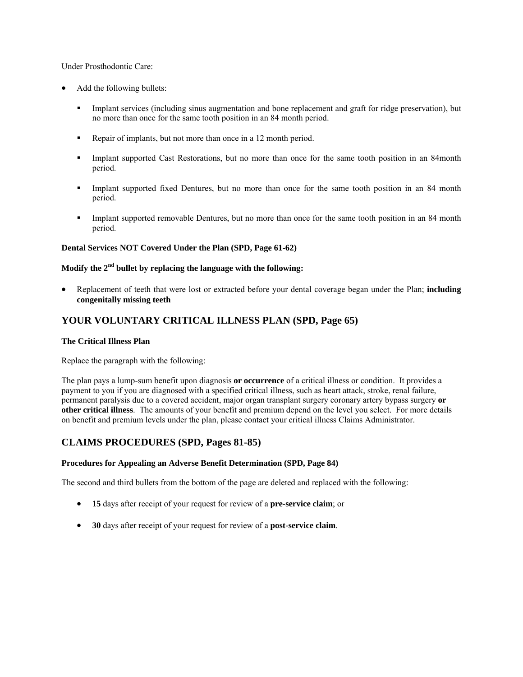Under Prosthodontic Care:

- Add the following bullets:
	- Implant services (including sinus augmentation and bone replacement and graft for ridge preservation), but no more than once for the same tooth position in an 84 month period.
	- Repair of implants, but not more than once in a 12 month period.
	- Implant supported Cast Restorations, but no more than once for the same tooth position in an 84month period.
	- Implant supported fixed Dentures, but no more than once for the same tooth position in an 84 month period.
	- Implant supported removable Dentures, but no more than once for the same tooth position in an 84 month period.

### **Dental Services NOT Covered Under the Plan (SPD, Page 61-62)**

## **Modify the 2nd bullet by replacing the language with the following:**

 Replacement of teeth that were lost or extracted before your dental coverage began under the Plan; **including congenitally missing teeth** 

## **YOUR VOLUNTARY CRITICAL ILLNESS PLAN (SPD, Page 65)**

#### **The Critical Illness Plan**

Replace the paragraph with the following:

The plan pays a lump-sum benefit upon diagnosis **or occurrence** of a critical illness or condition. It provides a payment to you if you are diagnosed with a specified critical illness, such as heart attack, stroke, renal failure, permanent paralysis due to a covered accident, major organ transplant surgery coronary artery bypass surgery **or other critical illness**. The amounts of your benefit and premium depend on the level you select. For more details on benefit and premium levels under the plan, please contact your critical illness Claims Administrator.

### **CLAIMS PROCEDURES (SPD, Pages 81-85)**

### **Procedures for Appealing an Adverse Benefit Determination (SPD, Page 84)**

The second and third bullets from the bottom of the page are deleted and replaced with the following:

- **15** days after receipt of your request for review of a **pre-service claim**; or
- **30** days after receipt of your request for review of a **post-service claim**.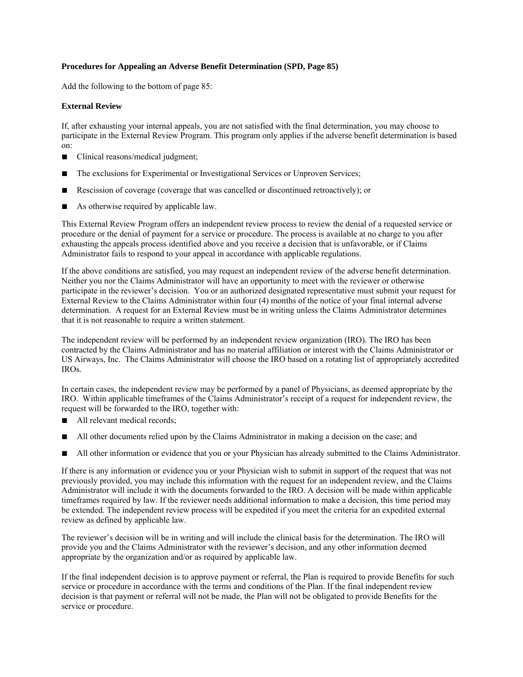### **Procedures for Appealing an Adverse Benefit Determination (SPD, Page 85)**

Add the following to the bottom of page 85:

#### **External Review**

If, after exhausting your internal appeals, you are not satisfied with the final determination, you may choose to participate in the External Review Program. This program only applies if the adverse benefit determination is based on:

- Clinical reasons/medical judgment;
- The exclusions for Experimental or Investigational Services or Unproven Services;
- Rescission of coverage (coverage that was cancelled or discontinued retroactively); or
- As otherwise required by applicable law.

This External Review Program offers an independent review process to review the denial of a requested service or procedure or the denial of payment for a service or procedure. The process is available at no charge to you after exhausting the appeals process identified above and you receive a decision that is unfavorable, or if Claims Administrator fails to respond to your appeal in accordance with applicable regulations.

If the above conditions are satisfied, you may request an independent review of the adverse benefit determination. Neither you nor the Claims Administrator will have an opportunity to meet with the reviewer or otherwise participate in the reviewer's decision. You or an authorized designated representative must submit your request for External Review to the Claims Administrator within four (4) months of the notice of your final internal adverse determination. A request for an External Review must be in writing unless the Claims Administrator determines that it is not reasonable to require a written statement.

The independent review will be performed by an independent review organization (IRO). The IRO has been contracted by the Claims Administrator and has no material affiliation or interest with the Claims Administrator or US Airways, Inc. The Claims Administrator will choose the IRO based on a rotating list of appropriately accredited IROs.

In certain cases, the independent review may be performed by a panel of Physicians, as deemed appropriate by the IRO. Within applicable timeframes of the Claims Administrator's receipt of a request for independent review, the request will be forwarded to the IRO, together with:

- All relevant medical records;
- All other documents relied upon by the Claims Administrator in making a decision on the case; and
- All other information or evidence that you or your Physician has already submitted to the Claims Administrator.

If there is any information or evidence you or your Physician wish to submit in support of the request that was not previously provided, you may include this information with the request for an independent review, and the Claims Administrator will include it with the documents forwarded to the IRO. A decision will be made within applicable timeframes required by law. If the reviewer needs additional information to make a decision, this time period may be extended. The independent review process will be expedited if you meet the criteria for an expedited external review as defined by applicable law.

The reviewer's decision will be in writing and will include the clinical basis for the determination. The IRO will provide you and the Claims Administrator with the reviewer's decision, and any other information deemed appropriate by the organization and/or as required by applicable law.

If the final independent decision is to approve payment or referral, the Plan is required to provide Benefits for such service or procedure in accordance with the terms and conditions of the Plan. If the final independent review decision is that payment or referral will not be made, the Plan will not be obligated to provide Benefits for the service or procedure.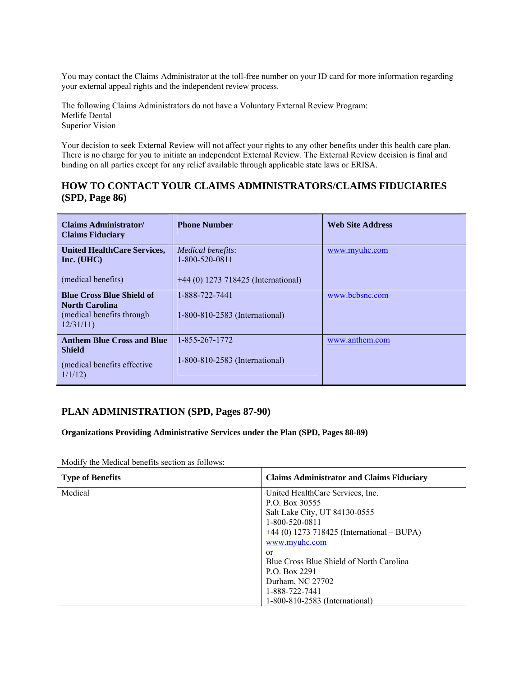You may contact the Claims Administrator at the toll-free number on your ID card for more information regarding your external appeal rights and the independent review process.

The following Claims Administrators do not have a Voluntary External Review Program: Metlife Dental Superior Vision

Your decision to seek External Review will not affect your rights to any other benefits under this health care plan. There is no charge for you to initiate an independent External Review. The External Review decision is final and binding on all parties except for any relief available through applicable state laws or ERISA.

## **HOW TO CONTACT YOUR CLAIMS ADMINISTRATORS/CLAIMS FIDUCIARIES (SPD, Page 86)**

| Claims Administrator/<br><b>Claims Fiduciary</b>                                                    | <b>Phone Number</b>                              | <b>Web Site Address</b> |
|-----------------------------------------------------------------------------------------------------|--------------------------------------------------|-------------------------|
| <b>United HealthCare Services,</b><br>Inc. (UHC)                                                    | <i>Medical benefits:</i><br>1-800-520-0811       | www.myuhc.com           |
| (medical benefits)                                                                                  | $+44$ (0) 1273 718425 (International)            |                         |
| <b>Blue Cross Blue Shield of</b><br><b>North Carolina</b><br>(medical benefits through)<br>12/31/11 | 1-888-722-7441<br>1-800-810-2583 (International) | www.bcbsnc.com          |
| <b>Anthem Blue Cross and Blue</b><br><b>Shield</b><br>(medical benefits effective)                  | 1-855-267-1772<br>1-800-810-2583 (International) | www.anthem.com          |
| 1/1/12                                                                                              |                                                  |                         |

# **PLAN ADMINISTRATION (SPD, Pages 87-90)**

**Organizations Providing Administrative Services under the Plan (SPD, Pages 88-89)** 

Modify the Medical benefits section as follows:

| <b>Type of Benefits</b> | <b>Claims Administrator and Claims Fiduciary</b> |
|-------------------------|--------------------------------------------------|
| Medical                 | United HealthCare Services, Inc.                 |
|                         | P.O. Box 30555                                   |
|                         | Salt Lake City, UT 84130-0555                    |
|                         | 1-800-520-0811                                   |
|                         | $+44$ (0) 1273 718425 (International – BUPA)     |
|                         | www.myuhc.com                                    |
|                         | or                                               |
|                         | Blue Cross Blue Shield of North Carolina         |
|                         | P.O. Box 2291                                    |
|                         | Durham, NC 27702                                 |
|                         | 1-888-722-7441                                   |
|                         | 1-800-810-2583 (International)                   |